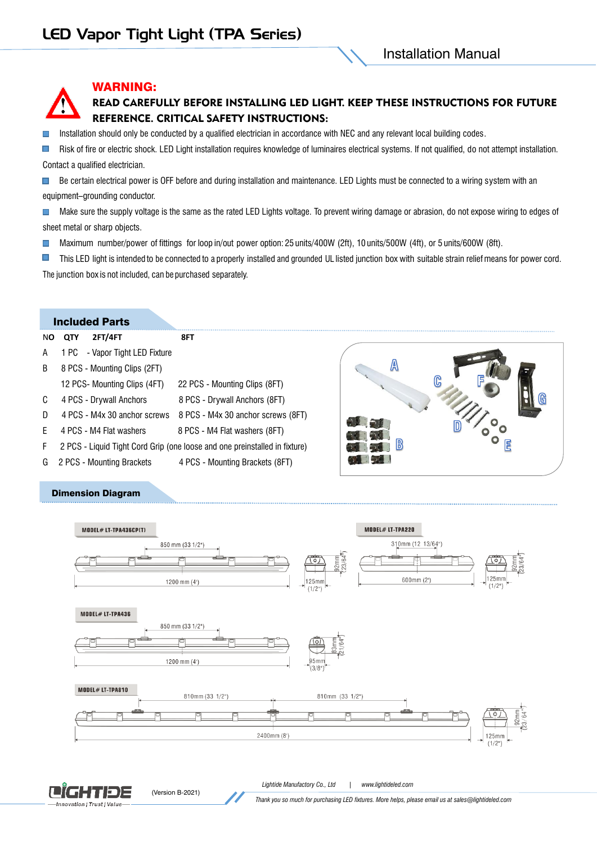### WARNING:

## READ CAREFULLY BEFORE INSTALLING LED LIGHT. KEEP THESE INSTRUCTIONS FOR FUTURE REFERENCE. CRITICAL SAFETY INSTRUCTIONS:

Installation should only be conducted by a qualified electrician in accordance with NEC and any relevant local building codes. П

 $\blacksquare$ Risk of fire or electric shock. LED Light installation requires knowledge of luminaires electrical systems. If not qualified, do not attempt installation. Contact a qualified electrician.

 $\blacksquare$ Be certain electrical power is OFF before and during installation and maintenance. LED Lights must be connected to a wiring system with an equipment–grounding conductor.

 $\blacksquare$ Make sure the supply voltage is the same as the rated LED Lights voltage. To prevent wiring damage or abrasion, do not expose wiring to edges of sheet metal or sharp objects.

Maximum number/power of fittings for loop in/out power option: 25 units/400W (2ft), 10 units/500W (4ft), or 5 units/600W (8ft).  $\Box$ 

 $\blacksquare$ This LED light is intended to be connected to a properly installed and grounded UL listed junction box with suitable strain relief means for power cord. The junction box is not included, can be purchased separately.

#### Included Parts

Dimension Diagram

|        | полчест анг                    |                                                                            |  |
|--------|--------------------------------|----------------------------------------------------------------------------|--|
| NO.    | 2FT/4FT<br><b>QTY</b>          | 8FT                                                                        |  |
| A      | 1 PC - Vapor Tight LED Fixture |                                                                            |  |
| B.     | 8 PCS - Mounting Clips (2FT)   |                                                                            |  |
|        | 12 PCS- Mounting Clips (4FT)   | 22 PCS - Mounting Clips (8FT)                                              |  |
| C      | 4 PCS - Drywall Anchors        | 8 PCS - Drywall Anchors (8FT)                                              |  |
| D.     |                                | 4 PCS - M4x 30 anchor screws 8 PCS - M4x 30 anchor screws (8FT)            |  |
| F.     | 4 PCS - M4 Flat washers        | 8 PCS - M4 Flat washers (8FT)                                              |  |
| F.     |                                | 2 PCS - Liquid Tight Cord Grip (one loose and one preinstalled in fixture) |  |
| $\sim$ | <b>ODCO</b> Mounting Draskets  | 4 DCC Mounting Draskets (OFT)                                              |  |

G 2 PCS - Mounting Brackets 4 PCS - Mounting Brackets (8FT)

(Version B-2021)



*Lightide Manufactory Co., Ltd | www.lightideled.com*



*Thank you so much for purchasing LED fixtures. More helps, please email us at sales@lightideled.com*